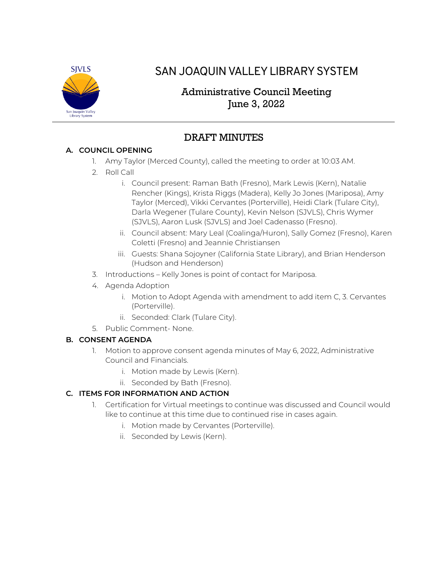

# SAN JOAQUIN VALLEY LIBRARY SYSTEM

# Administrative Council Meeting June 3, 2022

# DRAFT MINUTES

## **A. COUNCIL OPENING**

- 1. Amy Taylor (Merced County), called the meeting to order at 10:03 AM.
- 2. Roll Call
	- i. Council present: Raman Bath (Fresno), Mark Lewis (Kern), Natalie Rencher (Kings), Krista Riggs (Madera), Kelly Jo Jones (Mariposa), Amy Taylor (Merced), Vikki Cervantes (Porterville), Heidi Clark (Tulare City), Darla Wegener (Tulare County), Kevin Nelson (SJVLS), Chris Wymer (SJVLS), Aaron Lusk (SJVLS) and Joel Cadenasso (Fresno).
	- ii. Council absent: Mary Leal (Coalinga/Huron), Sally Gomez (Fresno), Karen Coletti (Fresno) and Jeannie Christiansen
	- iii. Guests: Shana Sojoyner (California State Library), and Brian Henderson (Hudson and Henderson)
- 3. Introductions Kelly Jones is point of contact for Mariposa.
- 4. Agenda Adoption
	- i. Motion to Adopt Agenda with amendment to add item C, 3. Cervantes (Porterville).
	- ii. Seconded: Clark (Tulare City).
- 5. Public Comment- None.

#### **B. CONSENT AGENDA**

- 1. Motion to approve consent agenda minutes of May 6, 2022, Administrative Council and Financials.
	- i. Motion made by Lewis (Kern).
	- ii. Seconded by Bath (Fresno).

## **C. ITEMS FOR INFORMATION AND ACTION**

- 1. Certification for Virtual meetings to continue was discussed and Council would like to continue at this time due to continued rise in cases again.
	- i. Motion made by Cervantes (Porterville).
	- ii. Seconded by Lewis (Kern).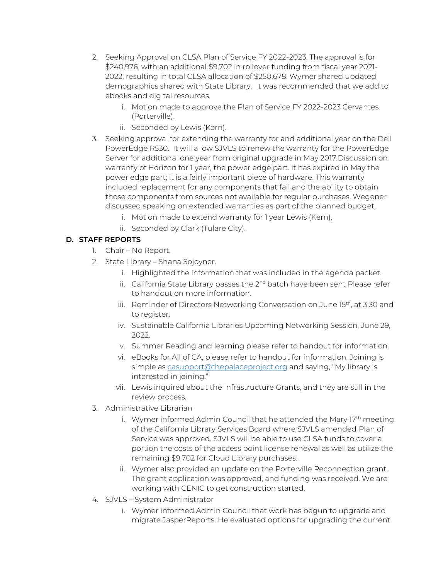- 2. Seeking Approval on CLSA Plan of Service FY 2022-2023. The approval is for \$240,976, with an additional \$9,702 in rollover funding from fiscal year 2021- 2022, resulting in total CLSA allocation of \$250,678. Wymer shared updated demographics shared with State Library. It was recommended that we add to ebooks and digital resources.
	- i. Motion made to approve the Plan of Service FY 2022-2023 Cervantes (Porterville).
	- ii. Seconded by Lewis (Kern).
- 3. Seeking approval for extending the warranty for and additional year on the Dell PowerEdge R530. It will allow SJVLS to renew the warranty for the PowerEdge Server for additional one year from original upgrade in May 2017.Discussion on warranty of Horizon for 1 year, the power edge part. it has expired in May the power edge part; it is a fairly important piece of hardware. This warranty included replacement for any components that fail and the ability to obtain those components from sources not available for regular purchases. Wegener discussed speaking on extended warranties as part of the planned budget.
	- i. Motion made to extend warranty for 1 year Lewis (Kern),
	- ii. Seconded by Clark (Tulare City).

#### **D. STAFF REPORTS**

- 1. Chair No Report.
- 2. State Library Shana Sojoyner.
	- i. Highlighted the information that was included in the agenda packet.
	- ii. California State Library passes the 2<sup>nd</sup> batch have been sent Please refer to handout on more information.
	- iii. Reminder of Directors Networking Conversation on June 15<sup>th</sup>, at 3:30 and to register.
	- iv. Sustainable California Libraries Upcoming Networking Session, June 29, 2022.
	- v. Summer Reading and learning please refer to handout for information.
	- vi. eBooks for All of CA, please refer to handout for information, Joining is simple as [casupport@thepalaceproject.org](mailto:casupport@thepalaceproject.org) and saying, "My library is interested in joining."
	- vii. Lewis inquired about the Infrastructure Grants, and they are still in the review process.
- 3. Administrative Librarian
	- i. Wymer informed Admin Council that he attended the Mary 17<sup>th</sup> meeting of the California Library Services Board where SJVLS amended Plan of Service was approved. SJVLS will be able to use CLSA funds to cover a portion the costs of the access point license renewal as well as utilize the remaining \$9,702 for Cloud Library purchases.
	- ii. Wymer also provided an update on the Porterville Reconnection grant. The grant application was approved, and funding was received. We are working with CENIC to get construction started.
- 4. SJVLS System Administrator
	- i. Wymer informed Admin Council that work has begun to upgrade and migrate JasperReports. He evaluated options for upgrading the current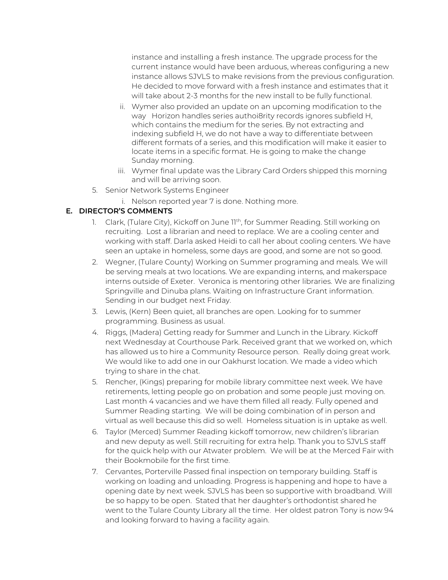instance and installing a fresh instance. The upgrade process for the current instance would have been arduous, whereas configuring a new instance allows SJVLS to make revisions from the previous configuration. He decided to move forward with a fresh instance and estimates that it will take about 2-3 months for the new install to be fully functional.

- ii. Wymer also provided an update on an upcoming modification to the way Horizon handles series authoi8rity records ignores subfield H, which contains the medium for the series. By not extracting and indexing subfield H, we do not have a way to differentiate between different formats of a series, and this modification will make it easier to locate items in a specific format. He is going to make the change Sunday morning.
- iii. Wymer final update was the Library Card Orders shipped this morning and will be arriving soon.
- 5. Senior Network Systems Engineer
	- i. Nelson reported year 7 is done. Nothing more.

### **E. DIRECTOR'S COMMENTS**

- 1. Clark, (Tulare City), Kickoff on June 11<sup>th</sup>, for Summer Reading. Still working on recruiting. Lost a librarian and need to replace. We are a cooling center and working with staff. Darla asked Heidi to call her about cooling centers. We have seen an uptake in homeless, some days are good, and some are not so good.
- 2. Wegner, (Tulare County) Working on Summer programing and meals. We will be serving meals at two locations. We are expanding interns, and makerspace interns outside of Exeter. Veronica is mentoring other libraries. We are finalizing Springville and Dinuba plans. Waiting on Infrastructure Grant information. Sending in our budget next Friday.
- 3. Lewis, (Kern) Been quiet, all branches are open. Looking for to summer programming. Business as usual.
- 4. Riggs, (Madera) Getting ready for Summer and Lunch in the Library. Kickoff next Wednesday at Courthouse Park. Received grant that we worked on, which has allowed us to hire a Community Resource person. Really doing great work. We would like to add one in our Oakhurst location. We made a video which trying to share in the chat.
- 5. Rencher, (Kings) preparing for mobile library committee next week. We have retirements, letting people go on probation and some people just moving on. Last month 4 vacancies and we have them filled all ready. Fully opened and Summer Reading starting. We will be doing combination of in person and virtual as well because this did so well. Homeless situation is in uptake as well.
- 6. Taylor (Merced) Summer Reading kickoff tomorrow, new children's librarian and new deputy as well. Still recruiting for extra help. Thank you to SJVLS staff for the quick help with our Atwater problem. We will be at the Merced Fair with their Bookmobile for the first time.
- 7. Cervantes, Porterville Passed final inspection on temporary building. Staff is working on loading and unloading. Progress is happening and hope to have a opening date by next week. SJVLS has been so supportive with broadband. Will be so happy to be open. Stated that her daughter's orthodontist shared he went to the Tulare County Library all the time. Her oldest patron Tony is now 94 and looking forward to having a facility again.